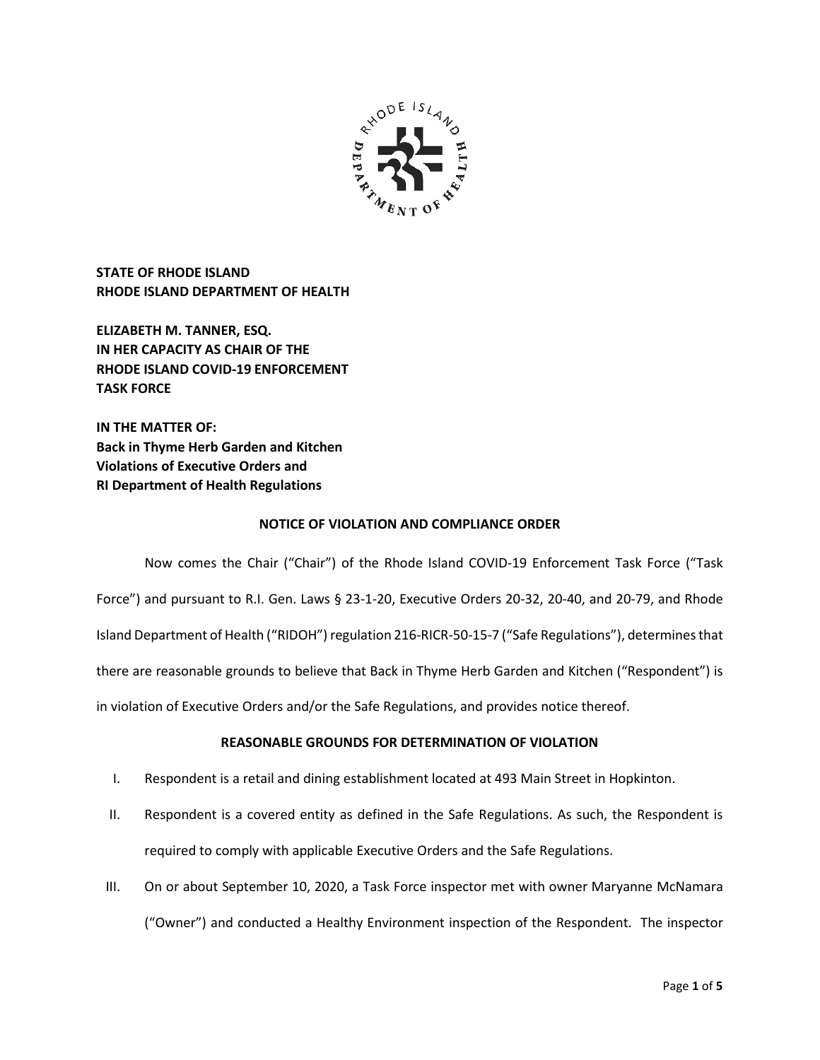

**STATE OF RHODE ISLAND RHODE ISLAND DEPARTMENT OF HEALTH**

**ELIZABETH M. TANNER, ESQ. IN HER CAPACITY AS CHAIR OF THE RHODE ISLAND COVID-19 ENFORCEMENT TASK FORCE** 

**IN THE MATTER OF: Back in Thyme Herb Garden and Kitchen Violations of Executive Orders and RI Department of Health Regulations**

# **NOTICE OF VIOLATION AND COMPLIANCE ORDER**

Now comes the Chair ("Chair") of the Rhode Island COVID-19 Enforcement Task Force ("Task Force") and pursuant to R.I. Gen. Laws § 23-1-20, Executive Orders 20-32, 20-40, and 20-79, and Rhode Island Department of Health ("RIDOH") regulation 216-RICR-50-15-7 ("Safe Regulations"), determines that there are reasonable grounds to believe that Back in Thyme Herb Garden and Kitchen ("Respondent") is in violation of Executive Orders and/or the Safe Regulations, and provides notice thereof.

# **REASONABLE GROUNDS FOR DETERMINATION OF VIOLATION**

- I. Respondent is a retail and dining establishment located at 493 Main Street in Hopkinton.
- II. Respondent is a covered entity as defined in the Safe Regulations. As such, the Respondent is required to comply with applicable Executive Orders and the Safe Regulations.
- III. On or about September 10, 2020, a Task Force inspector met with owner Maryanne McNamara ("Owner") and conducted a Healthy Environment inspection of the Respondent. The inspector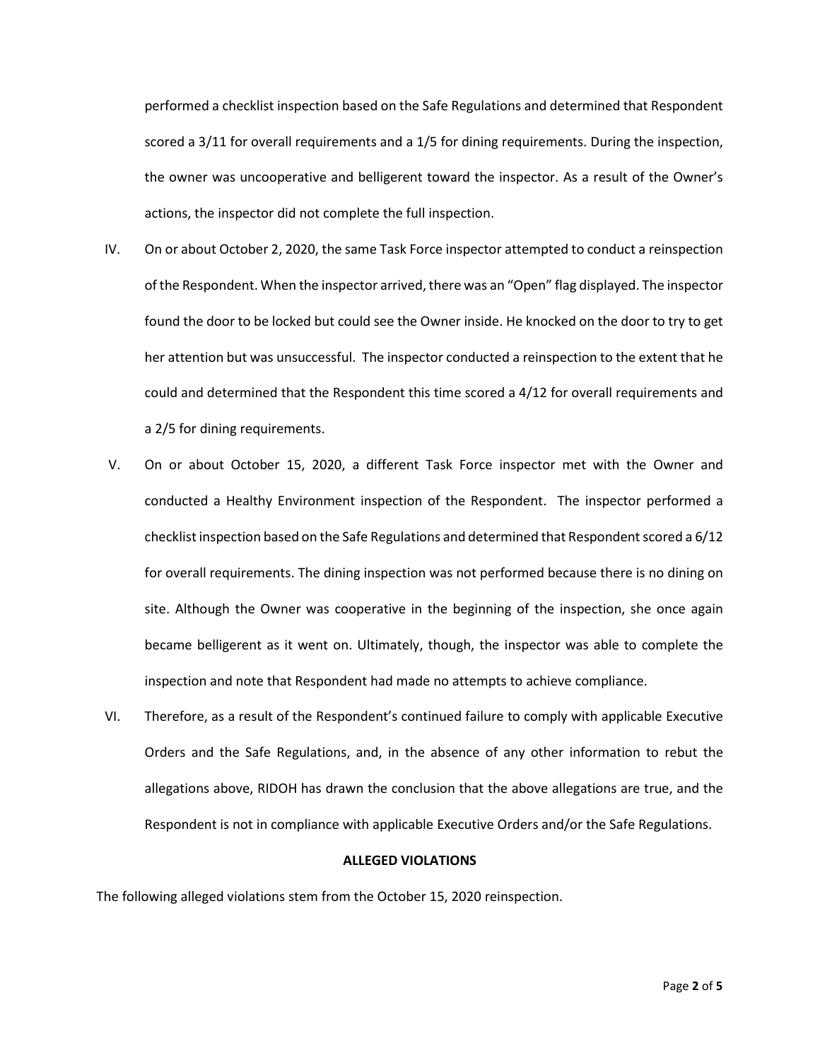performed a checklist inspection based on the Safe Regulations and determined that Respondent scored a 3/11 for overall requirements and a 1/5 for dining requirements. During the inspection, the owner was uncooperative and belligerent toward the inspector. As a result of the Owner's actions, the inspector did not complete the full inspection.

- IV. On or about October 2, 2020, the same Task Force inspector attempted to conduct a reinspection of the Respondent. When the inspector arrived, there was an "Open" flag displayed. The inspector found the door to be locked but could see the Owner inside. He knocked on the door to try to get her attention but was unsuccessful. The inspector conducted a reinspection to the extent that he could and determined that the Respondent this time scored a 4/12 for overall requirements and a 2/5 for dining requirements.
- V. On or about October 15, 2020, a different Task Force inspector met with the Owner and conducted a Healthy Environment inspection of the Respondent. The inspector performed a checklist inspection based on the Safe Regulations and determined that Respondent scored a 6/12 for overall requirements. The dining inspection was not performed because there is no dining on site. Although the Owner was cooperative in the beginning of the inspection, she once again became belligerent as it went on. Ultimately, though, the inspector was able to complete the inspection and note that Respondent had made no attempts to achieve compliance.
- VI. Therefore, as a result of the Respondent's continued failure to comply with applicable Executive Orders and the Safe Regulations, and, in the absence of any other information to rebut the allegations above, RIDOH has drawn the conclusion that the above allegations are true, and the Respondent is not in compliance with applicable Executive Orders and/or the Safe Regulations.

## **ALLEGED VIOLATIONS**

The following alleged violations stem from the October 15, 2020 reinspection.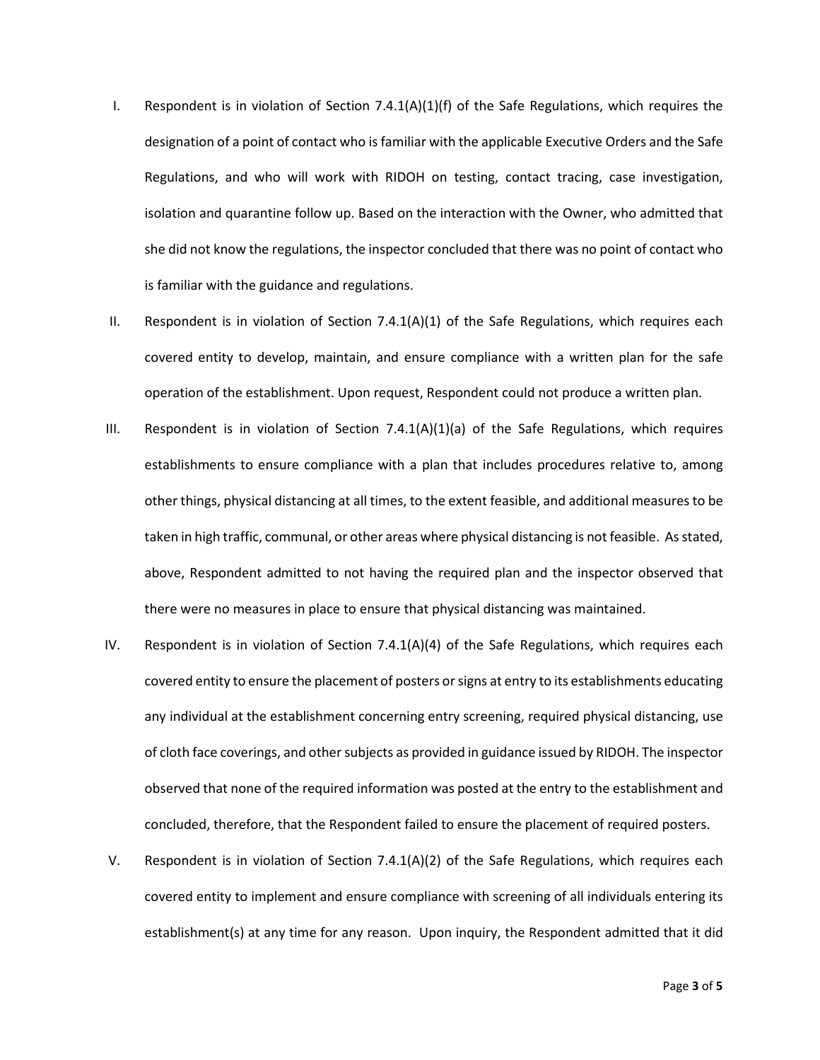- I. Respondent is in violation of Section  $7.4.1(A)(1)(f)$  of the Safe Regulations, which requires the designation of a point of contact who is familiar with the applicable Executive Orders and the Safe Regulations, and who will work with RIDOH on testing, contact tracing, case investigation, isolation and quarantine follow up. Based on the interaction with the Owner, who admitted that she did not know the regulations, the inspector concluded that there was no point of contact who is familiar with the guidance and regulations.
- II. Respondent is in violation of Section 7.4.1(A)(1) of the Safe Regulations, which requires each covered entity to develop, maintain, and ensure compliance with a written plan for the safe operation of the establishment. Upon request, Respondent could not produce a written plan.
- III. Respondent is in violation of Section  $7.4.1(A)(1)(a)$  of the Safe Regulations, which requires establishments to ensure compliance with a plan that includes procedures relative to, among other things, physical distancing at all times, to the extent feasible, and additional measures to be taken in high traffic, communal, or other areas where physical distancing is not feasible. As stated, above, Respondent admitted to not having the required plan and the inspector observed that there were no measures in place to ensure that physical distancing was maintained.
- IV. Respondent is in violation of Section 7.4.1(A)(4) of the Safe Regulations, which requires each covered entity to ensure the placement of posters or signs at entry to its establishments educating any individual at the establishment concerning entry screening, required physical distancing, use of cloth face coverings, and other subjects as provided in guidance issued by RIDOH. The inspector observed that none of the required information was posted at the entry to the establishment and concluded, therefore, that the Respondent failed to ensure the placement of required posters.
- V. Respondent is in violation of Section 7.4.1(A)(2) of the Safe Regulations, which requires each covered entity to implement and ensure compliance with screening of all individuals entering its establishment(s) at any time for any reason. Upon inquiry, the Respondent admitted that it did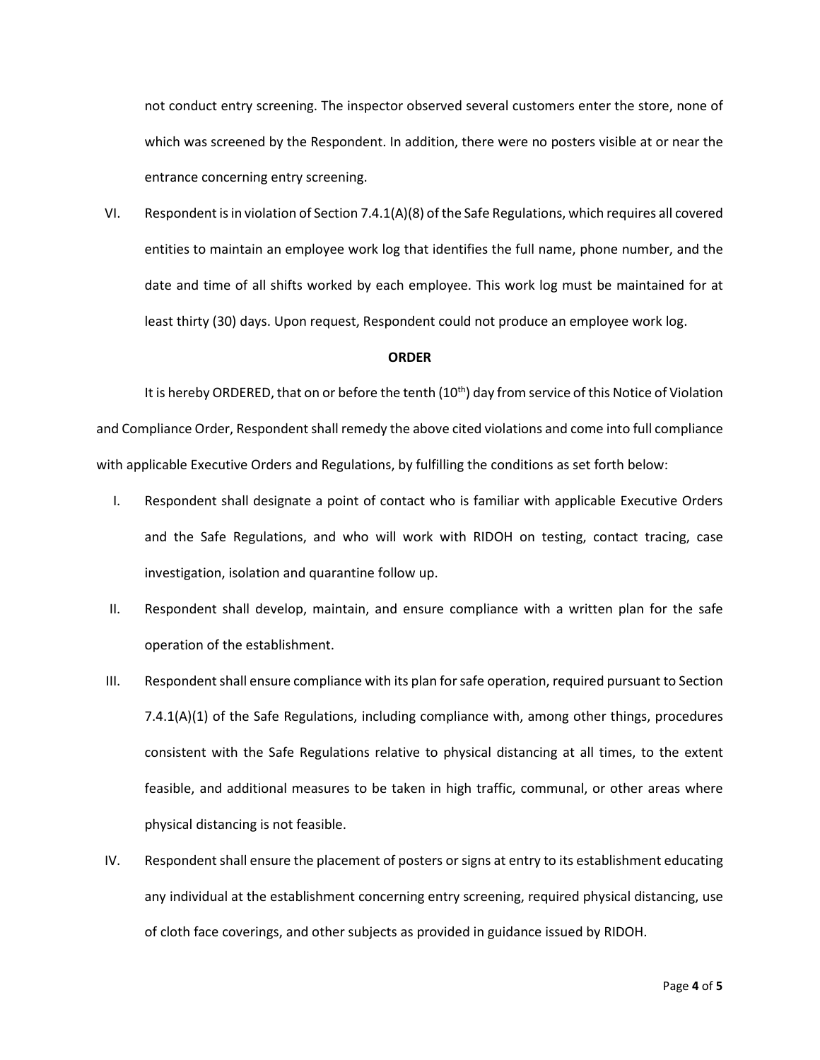not conduct entry screening. The inspector observed several customers enter the store, none of which was screened by the Respondent. In addition, there were no posters visible at or near the entrance concerning entry screening.

VI. Respondent is in violation of Section 7.4.1(A)(8) of the Safe Regulations, which requires all covered entities to maintain an employee work log that identifies the full name, phone number, and the date and time of all shifts worked by each employee. This work log must be maintained for at least thirty (30) days. Upon request, Respondent could not produce an employee work log.

### **ORDER**

It is hereby ORDERED, that on or before the tenth  $(10<sup>th</sup>)$  day from service of this Notice of Violation and Compliance Order, Respondent shall remedy the above cited violations and come into full compliance with applicable Executive Orders and Regulations, by fulfilling the conditions as set forth below:

- I. Respondent shall designate a point of contact who is familiar with applicable Executive Orders and the Safe Regulations, and who will work with RIDOH on testing, contact tracing, case investigation, isolation and quarantine follow up.
- II. Respondent shall develop, maintain, and ensure compliance with a written plan for the safe operation of the establishment.
- III. Respondent shall ensure compliance with its plan for safe operation, required pursuant to Section 7.4.1(A)(1) of the Safe Regulations, including compliance with, among other things, procedures consistent with the Safe Regulations relative to physical distancing at all times, to the extent feasible, and additional measures to be taken in high traffic, communal, or other areas where physical distancing is not feasible.
- IV. Respondent shall ensure the placement of posters or signs at entry to its establishment educating any individual at the establishment concerning entry screening, required physical distancing, use of cloth face coverings, and other subjects as provided in guidance issued by RIDOH.